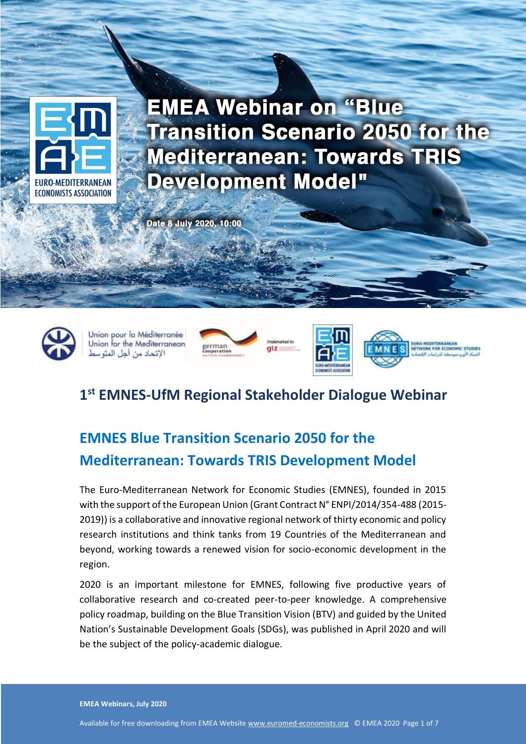

Date 8 July 2020, 10:00



Union pour la Méditerranée Union for the Mediterranean الإتحاد من أجل المتوسط



**EMEA Webinar on Blue Transition Scenario 2050 for the** 

**Mediterranean: Towards TRIS Development Model**



# **1 st EMNES-UfM Regional Stakeholder Dialogue Webinar**

plemented by

# **EMNES Blue Transition Scenario 2050 for the Mediterranean: Towards TRIS Development Model**

The Euro-Mediterranean Network for Economic Studies (EMNES), founded in 2015 with the support of the European Union (Grant Contract N° ENPI/2014/354-488 (2015- 2019)) is a collaborative and innovative regional network of thirty economic and policy research institutions and think tanks from 19 Countries of the Mediterranean and beyond, working towards a renewed vision for socio-economic development in the region.

2020 is an important milestone for EMNES, following five productive years of collaborative research and co-created peer-to-peer knowledge. A comprehensive policy roadmap, building on the Blue Transition Vision (BTV) and guided by the United Nation's Sustainable Development Goals (SDGs), was published in April 2020 and will be the subject of the policy-academic dialogue.

**EMEA Webinars, July 2020**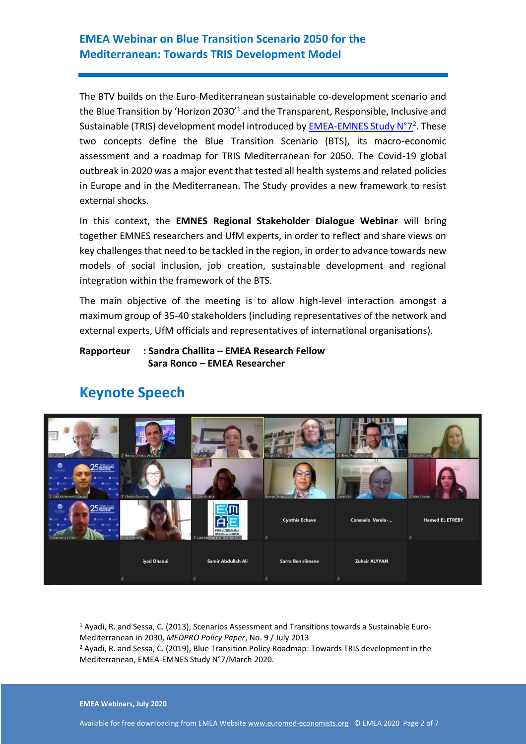The BTV builds on the Euro-Mediterranean sustainable co-development scenario and the Blue Transition by 'Horizon 2030'<sup>1</sup> and the Transparent, Responsible, Inclusive and Sustainable (TRIS) development model introduced by **EMEA-EMNES Study N°7**<sup>2</sup>. These two concepts define the Blue Transition Scenario (BTS), its macro-economic assessment and a roadmap for TRIS Mediterranean for 2050. The Covid-19 global outbreak in 2020 was a major event that tested all health systems and related policies in Europe and in the Mediterranean. The Study provides a new framework to resist external shocks.

In this context, the **EMNES Regional Stakeholder Dialogue Webinar** will bring together EMNES researchers and UfM experts, in order to reflect and share views on key challenges that need to be tackled in the region, in order to advance towards new models of social inclusion, job creation, sustainable development and regional integration within the framework of the BTS.

The main objective of the meeting is to allow high-level interaction amongst a maximum group of 35-40 stakeholders (including representatives of the network and external experts, UfM officials and representatives of international organisations).

#### **Rapporteur : Sandra Challita – EMEA Research Fellow Sara Ronco – EMEA Researcher**



## **Keynote Speech**

<sup>1</sup> Ayadi, R. and Sessa, C. (2013), Scenarios Assessment and Transitions towards a Sustainable Euro-Mediterranean in 2030, *MEDPRO Policy Paper*, No. 9 / July 2013

<sup>2</sup> Ayadi, R. and Sessa, C. (2019), Blue Transition Policy Roadmap: Towards TRIS development in the Mediterranean, EMEA-EMNES Study N°7/March 2020.

**EMEA Webinars, July 2020**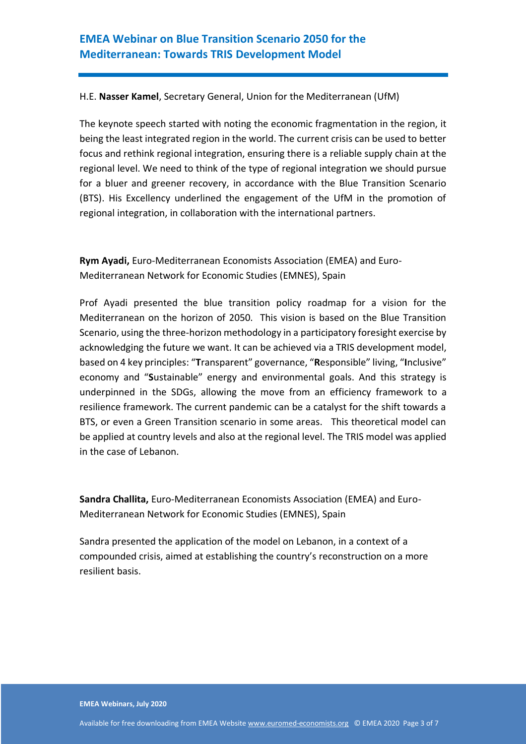#### H.E. **Nasser Kamel**, Secretary General, Union for the Mediterranean (UfM)

The keynote speech started with noting the economic fragmentation in the region, it being the least integrated region in the world. The current crisis can be used to better focus and rethink regional integration, ensuring there is a reliable supply chain at the regional level. We need to think of the type of regional integration we should pursue for a bluer and greener recovery, in accordance with the Blue Transition Scenario (BTS). His Excellency underlined the engagement of the UfM in the promotion of regional integration, in collaboration with the international partners.

**Rym Ayadi,** Euro-Mediterranean Economists Association (EMEA) and Euro-Mediterranean Network for Economic Studies (EMNES), Spain

Prof Ayadi presented the blue transition policy roadmap for a vision for the Mediterranean on the horizon of 2050. This vision is based on the Blue Transition Scenario, using the three-horizon methodology in a participatory foresight exercise by acknowledging the future we want. It can be achieved via a TRIS development model, based on 4 key principles: "**T**ransparent" governance, "**R**esponsible" living, "**I**nclusive" economy and "**S**ustainable" energy and environmental goals. And this strategy is underpinned in the SDGs, allowing the move from an efficiency framework to a resilience framework. The current pandemic can be a catalyst for the shift towards a BTS, or even a Green Transition scenario in some areas. This theoretical model can be applied at country levels and also at the regional level. The TRIS model was applied in the case of Lebanon.

**Sandra Challita,** Euro-Mediterranean Economists Association (EMEA) and Euro-Mediterranean Network for Economic Studies (EMNES), Spain

Sandra presented the application of the model on Lebanon, in a context of a compounded crisis, aimed at establishing the country's reconstruction on a more resilient basis.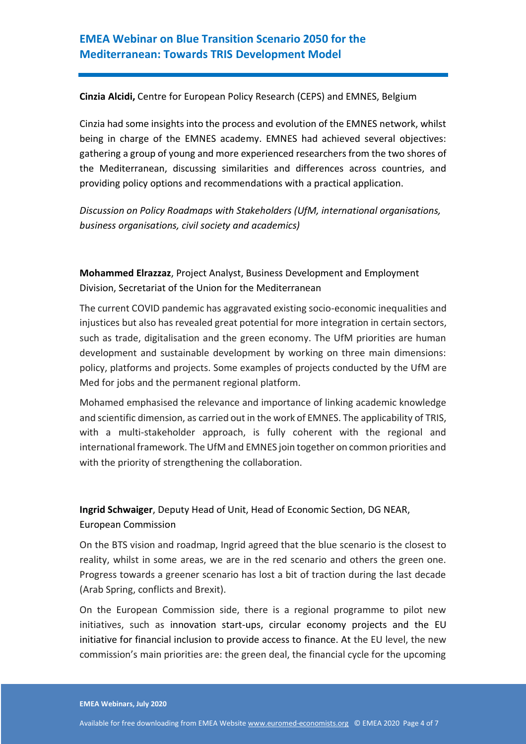#### **Cinzia Alcidi,** Centre for European Policy Research (CEPS) and EMNES, Belgium

Cinzia had some insights into the process and evolution of the EMNES network, whilst being in charge of the EMNES academy. EMNES had achieved several objectives: gathering a group of young and more experienced researchers from the two shores of the Mediterranean, discussing similarities and differences across countries, and providing policy options and recommendations with a practical application.

*Discussion on Policy Roadmaps with Stakeholders (UfM, international organisations, business organisations, civil society and academics)* 

## **Mohammed Elrazzaz**, Project Analyst, Business Development and Employment Division, Secretariat of the Union for the Mediterranean

The current COVID pandemic has aggravated existing socio-economic inequalities and injustices but also has revealed great potential for more integration in certain sectors, such as trade, digitalisation and the green economy. The UfM priorities are human development and sustainable development by working on three main dimensions: policy, platforms and projects. Some examples of projects conducted by the UfM are Med for jobs and the permanent regional platform.

Mohamed emphasised the relevance and importance of linking academic knowledge and scientific dimension, as carried out in the work of EMNES. The applicability of TRIS, with a multi-stakeholder approach, is fully coherent with the regional and international framework. The UfM and EMNES join together on common priorities and with the priority of strengthening the collaboration.

## **Ingrid Schwaiger**, Deputy Head of Unit, Head of Economic Section, DG NEAR, European Commission

On the BTS vision and roadmap, Ingrid agreed that the blue scenario is the closest to reality, whilst in some areas, we are in the red scenario and others the green one. Progress towards a greener scenario has lost a bit of traction during the last decade (Arab Spring, conflicts and Brexit).

On the European Commission side, there is a regional programme to pilot new initiatives, such as innovation start-ups, circular economy projects and the EU initiative for financial inclusion to provide access to finance. At the EU level, the new commission's main priorities are: the green deal, the financial cycle for the upcoming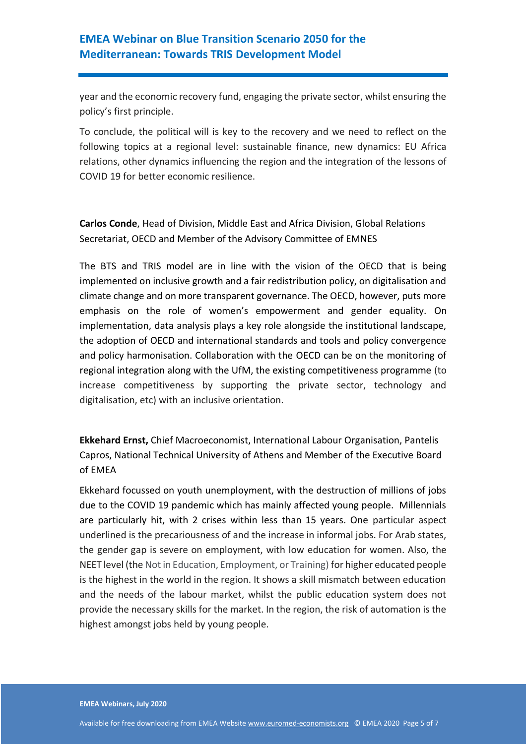year and the economic recovery fund, engaging the private sector, whilst ensuring the policy's first principle.

To conclude, the political will is key to the recovery and we need to reflect on the following topics at a regional level: sustainable finance, new dynamics: EU Africa relations, other dynamics influencing the region and the integration of the lessons of COVID 19 for better economic resilience.

**Carlos Conde**, Head of Division, Middle East and Africa Division, Global Relations Secretariat, OECD and Member of the Advisory Committee of EMNES

The BTS and TRIS model are in line with the vision of the OECD that is being implemented on inclusive growth and a fair redistribution policy, on digitalisation and climate change and on more transparent governance. The OECD, however, puts more emphasis on the role of women's empowerment and gender equality. On implementation, data analysis plays a key role alongside the institutional landscape, the adoption of OECD and international standards and tools and policy convergence and policy harmonisation. Collaboration with the OECD can be on the monitoring of regional integration along with the UfM, the existing competitiveness programme (to increase competitiveness by supporting the private sector, technology and digitalisation, etc) with an inclusive orientation.

**Ekkehard Ernst,** Chief Macroeconomist, International Labour Organisation, Pantelis Capros, National Technical University of Athens and Member of the Executive Board of EMEA

Ekkehard focussed on youth unemployment, with the destruction of millions of jobs due to the COVID 19 pandemic which has mainly affected young people. Millennials are particularly hit, with 2 crises within less than 15 years. One particular aspect underlined is the precariousness of and the increase in informal jobs. For Arab states, the gender gap is severe on employment, with low education for women. Also, the NEET level (the Not in Education, Employment, or Training) for higher educated people is the highest in the world in the region. It shows a skill mismatch between education and the needs of the labour market, whilst the public education system does not provide the necessary skills for the market. In the region, the risk of automation is the highest amongst jobs held by young people.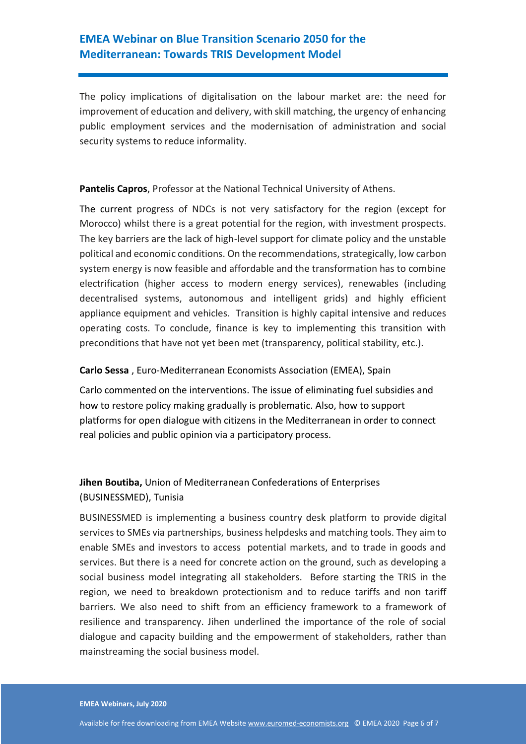The policy implications of digitalisation on the labour market are: the need for improvement of education and delivery, with skill matching, the urgency of enhancing public employment services and the modernisation of administration and social security systems to reduce informality.

#### **Pantelis Capros**, Professor at the National Technical University of Athens.

The current progress of NDCs is not very satisfactory for the region (except for Morocco) whilst there is a great potential for the region, with investment prospects. The key barriers are the lack of high-level support for climate policy and the unstable political and economic conditions. On the recommendations, strategically, low carbon system energy is now feasible and affordable and the transformation has to combine electrification (higher access to modern energy services), renewables (including decentralised systems, autonomous and intelligent grids) and highly efficient appliance equipment and vehicles. Transition is highly capital intensive and reduces operating costs. To conclude, finance is key to implementing this transition with preconditions that have not yet been met (transparency, political stability, etc.).

#### **Carlo Sessa** , Euro-Mediterranean Economists Association (EMEA), Spain

Carlo commented on the interventions. The issue of eliminating fuel subsidies and how to restore policy making gradually is problematic. Also, how to support platforms for open dialogue with citizens in the Mediterranean in order to connect real policies and public opinion via a participatory process.

### **Jihen Boutiba,** Union of Mediterranean Confederations of Enterprises (BUSINESSMED), Tunisia

BUSINESSMED is implementing a business country desk platform to provide digital services to SMEs via partnerships, business helpdesks and matching tools. They aim to enable SMEs and investors to access potential markets, and to trade in goods and services. But there is a need for concrete action on the ground, such as developing a social business model integrating all stakeholders. Before starting the TRIS in the region, we need to breakdown protectionism and to reduce tariffs and non tariff barriers. We also need to shift from an efficiency framework to a framework of resilience and transparency. Jihen underlined the importance of the role of social dialogue and capacity building and the empowerment of stakeholders, rather than mainstreaming the social business model.

#### **EMEA Webinars, July 2020**